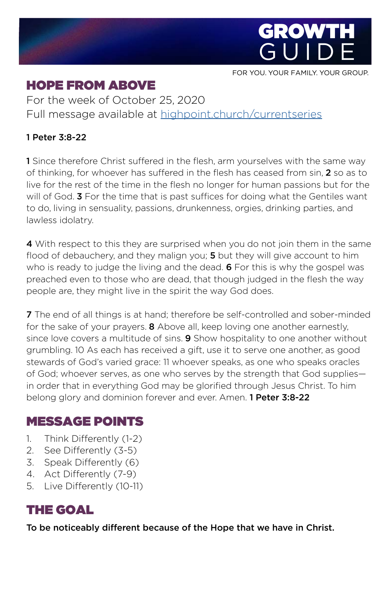

FOR YOU. YOUR FAMILY. YOUR GROUP.

# HOPE FROM ABOVE

For the week of October 25, 2020 Full message available at [highpoint.church/currentseries](http://highpoint.church/currentseries)

#### 1 Peter 3:8-22

1 Since therefore Christ suffered in the flesh, arm yourselves with the same way of thinking, for whoever has suffered in the flesh has ceased from sin, 2 so as to live for the rest of the time in the flesh no longer for human passions but for the will of God. 3 For the time that is past suffices for doing what the Gentiles want to do, living in sensuality, passions, drunkenness, orgies, drinking parties, and lawless idolatry.

4 With respect to this they are surprised when you do not join them in the same flood of debauchery, and they malign you; 5 but they will give account to him who is ready to judge the living and the dead. **6** For this is why the gospel was preached even to those who are dead, that though judged in the flesh the way people are, they might live in the spirit the way God does.

7 The end of all things is at hand; therefore be self-controlled and sober-minded for the sake of your prayers. 8 Above all, keep loving one another earnestly, since love covers a multitude of sins. 9 Show hospitality to one another without grumbling. 10 As each has received a gift, use it to serve one another, as good stewards of God's varied grace: 11 whoever speaks, as one who speaks oracles of God; whoever serves, as one who serves by the strength that God supplies in order that in everything God may be glorified through Jesus Christ. To him belong glory and dominion forever and ever. Amen. 1 Peter 3:8-22

### MESSAGE POINTS

- 1. Think Differently (1-2)
- 2. See Differently (3-5)
- 3. Speak Differently (6)
- 4. Act Differently (7-9)
- 5. Live Differently (10-11)

## THE GOAL

To be noticeably different because of the Hope that we have in Christ.